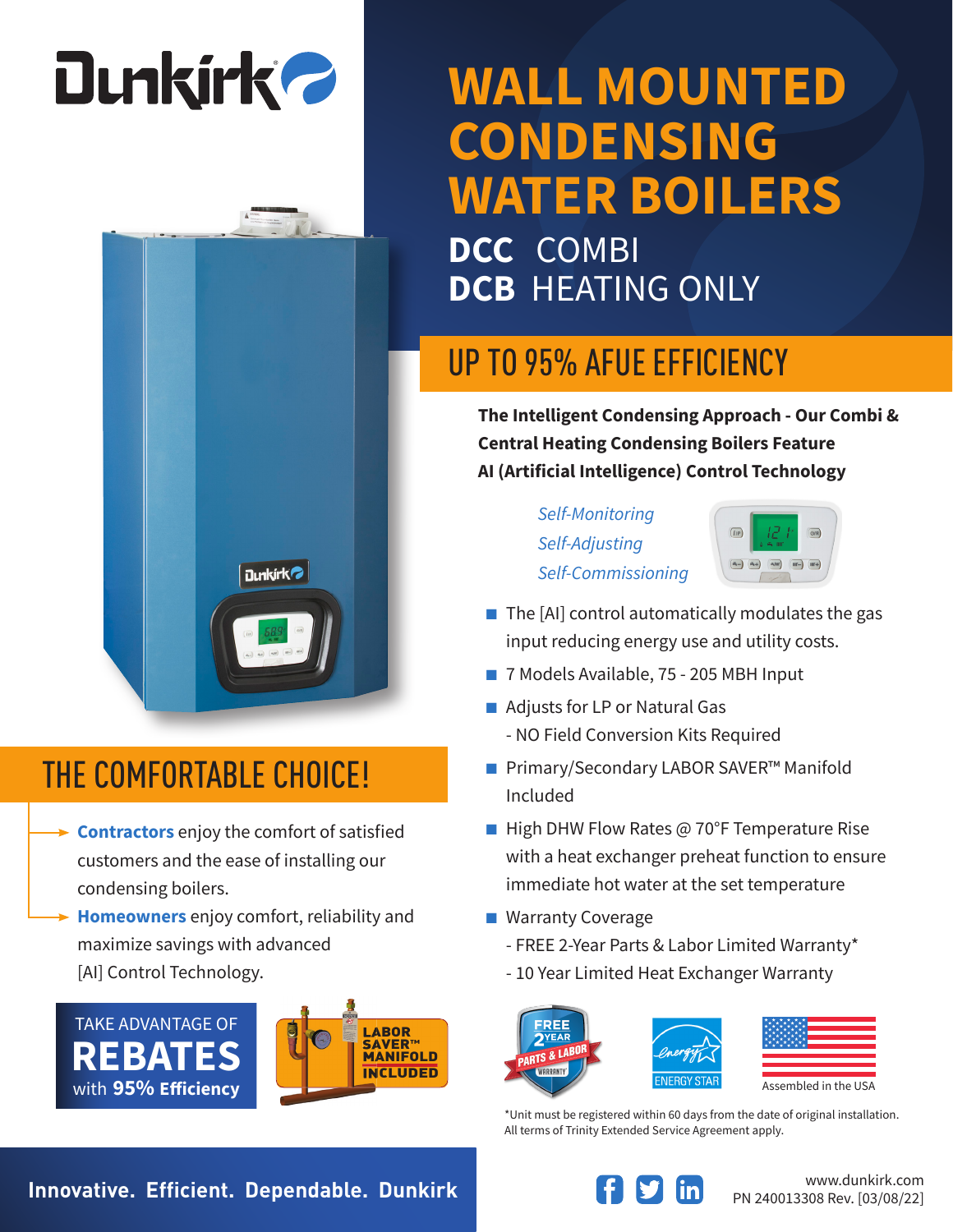# **Dunkirk 2**



#### THE COMFORTABLE CHOICE!

- **Contractors** enjoy the comfort of satisfied customers and the ease of installing our condensing boilers.
- **Homeowners** enjoy comfort, reliability and maximize savings with advanced [AI] Control Technology.





### **WALL MOUNTED CONDENSING WATER BOILERS**

**DCC** COMBI **DCB** HEATING ONLY

#### UP TO 95% AFUE EFFICIENCY

**The Intelligent Condensing Approach - Our Combi & Central Heating Condensing Boilers Feature AI (Artificial Intelligence) Control Technology**

> *Self-Monitoring Self-Adjusting Self-Commissioning*



- $\blacksquare$  The [AI] control automatically modulates the gas input reducing energy use and utility costs.
- 7 Models Available, 75 205 MBH Input
- Adjusts for LP or Natural Gas - NO Field Conversion Kits Required
- Primary/Secondary LABOR SAVER<sup>™</sup> Manifold Included
- High DHW Flow Rates @ 70°F Temperature Rise with a heat exchanger preheat function to ensure immediate hot water at the set temperature
- Warranty Coverage
	- FREE 2-Year Parts & Labor Limited Warranty\*
	- 10 Year Limited Heat Exchanger Warranty





Assembled in the USA

\*Unit must be registered within 60 days from the date of original installation. All terms of Trinity Extended Service Agreement apply.

**Innovative. Efficient. Dependable. Dunkirk Example 10 and 10 and 10 and 10 and 10 and 10 and 10 and 10 and 10 and 10 and 10 and 10 and 10 and 10 and 10 and 10 and 10 and 10 and 10 and 10 and 10 and 10 and 10 and 10 and**